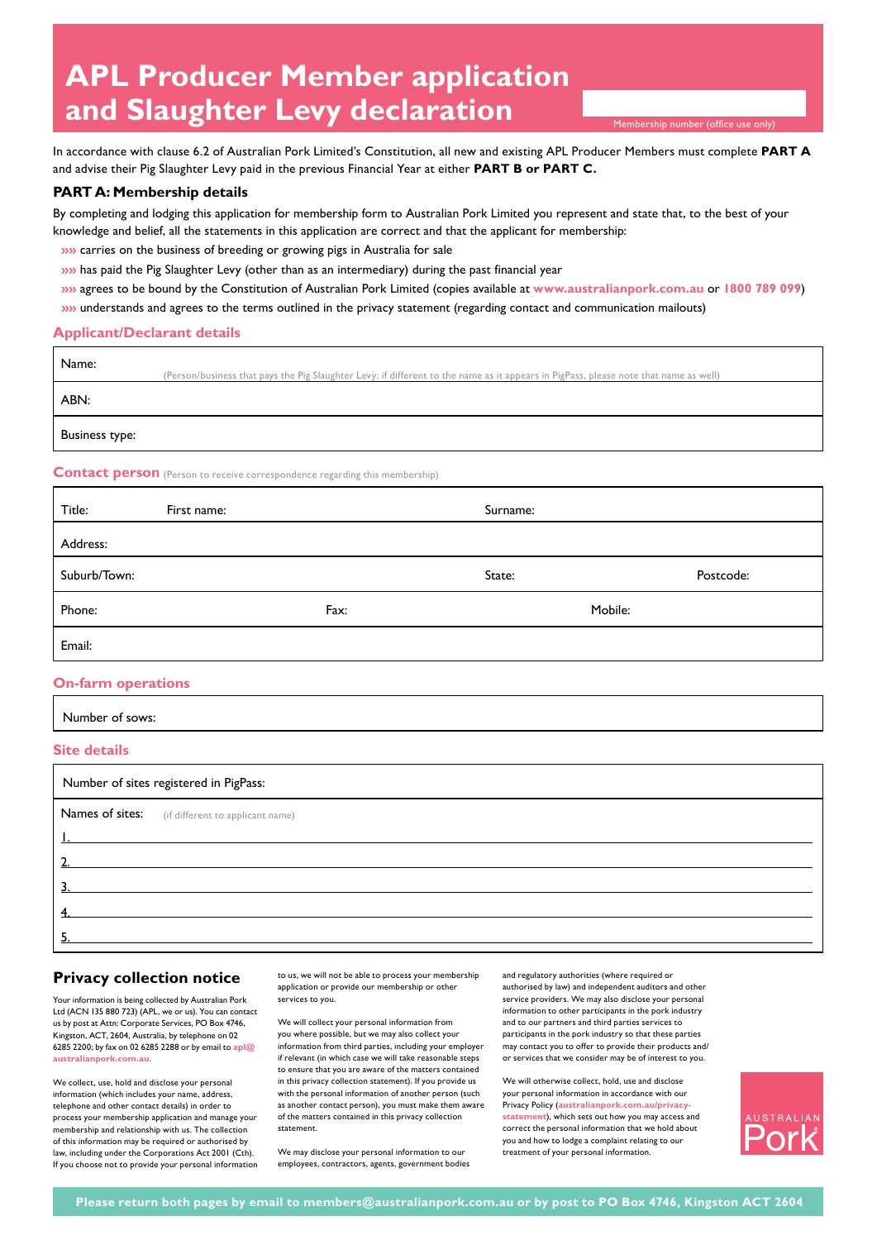# **APL Producer Member application and Slaughter Levy declaration**

Membership number (office use only)

In accordance with clause 6.2 of Australian Pork Limited's Constitution, all new and existing APL Producer Members must complete **PART A**  and advise their Pig Slaughter Levy paid in the previous Financial Year at either **PART B or PART C.**

### **PART A: Membership details**

By completing and lodging this application for membership form to Australian Pork Limited you represent and state that, to the best of your knowledge and belief, all the statements in this application are correct and that the applicant for membership:

- **»»** carries on the business of breeding or growing pigs in Australia for sale
- **»»** has paid the Pig Slaughter Levy (other than as an intermediary) during the past financial year
- **»»** agrees to be bound by the Constitution of Australian Pork Limited (copies available at **www.australianpork.com.au** or **1800 789 099**)
- **»»** understands and agrees to the terms outlined in the privacy statement (regarding contact and communication mailouts)

#### **Applicant/Declarant details**

| Name:                                                                              | (Person/business that pays the Pig Slaughter Levy; if different to the name as it appears in PigPass, please note that name as well) |  |
|------------------------------------------------------------------------------------|--------------------------------------------------------------------------------------------------------------------------------------|--|
| ABN:                                                                               |                                                                                                                                      |  |
| Business type:                                                                     |                                                                                                                                      |  |
| <b>Contact person</b> (Person to receive correspondence regarding this membership) |                                                                                                                                      |  |

| Title:       | First name: |      | Surname: |           |
|--------------|-------------|------|----------|-----------|
| Address:     |             |      |          |           |
| Suburb/Town: |             |      | State:   | Postcode: |
| Phone:       |             | Fax: |          | Mobile:   |
| Email:       |             |      |          |           |

#### **On-farm operations**

| Number of sows: |  |
|-----------------|--|
|-----------------|--|

#### **Site details**

| Number of sites registered in PigPass: |                                                  |  |
|----------------------------------------|--------------------------------------------------|--|
|                                        | Names of sites: (if different to applicant name) |  |
|                                        |                                                  |  |
|                                        |                                                  |  |
|                                        |                                                  |  |
|                                        |                                                  |  |
|                                        |                                                  |  |

# **Privacy collection notice**

Your information is being collected by Australian Pork Ltd (ACN 135 880 723) (APL, we or us). You can contact us by post at Attn: Corporate Services, PO Box 4746, Kingston, ACT, 2604, Australia, by telephone on 02 6285 2200; by fax on 02 6285 2288 or by email to **apl@ australianpork.com.au**.

We collect, use, hold and disclose your personal information (which includes your name, address, telephone and other contact details) in order to process your membership application and manage your membership and relationship with us. The collection of this information may be required or authorised by law, including under the Corporations Act 2001 (Cth). If you choose not to provide your personal information

to us, we will not be able to process your membership application or provide our membership or other services to you

We will collect your personal information from you where possible, but we may also collect your information from third parties, including your employer if relevant (in which case we will take reasonable steps to ensure that you are aware of the matters contained in this privacy collection statement). If you provide us with the personal information of another person (such as another contact person), you must make them aware of the matters contained in this privacy collection statement.

We may disclose your personal information to our employees, contractors, agents, government bodies

and regulatory authorities (where required or authorised by law) and independent auditors and other service providers. We may also disclose your personal information to other participants in the pork industry and to our partners and third parties services to participants in the pork industry so that these parties may contact you to offer to provide their products and/

or services that we consider may be of interest to you.

We will otherwise collect, hold, use and disclose your personal information in accordance with our Privacy Policy (**australianpork.com.au/privacystatement**), which sets out how you may access and correct the personal information that we hold about you and how to lodge a complaint relating to our treatment of your personal information.